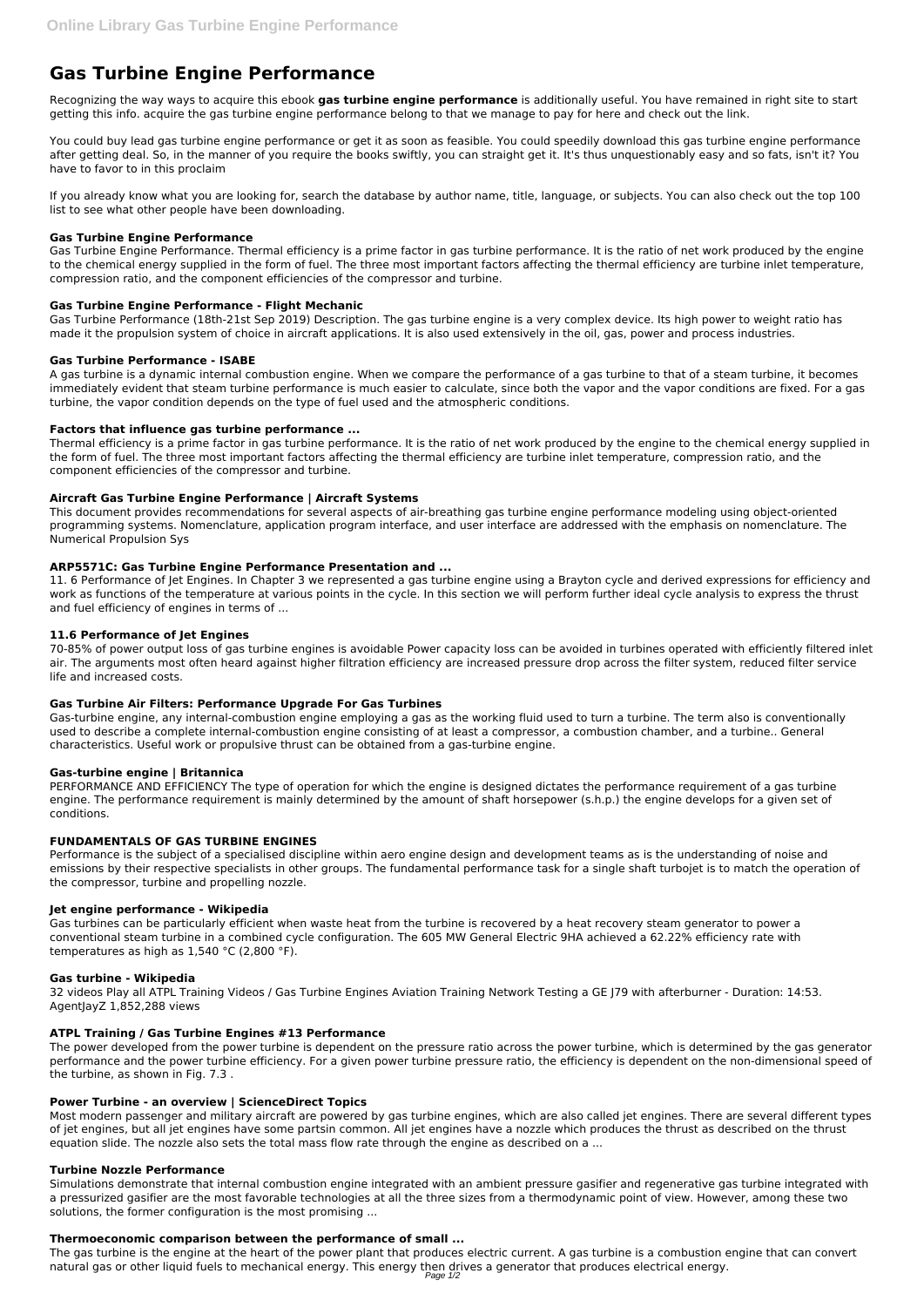# **Gas Turbine Engine Performance**

Recognizing the way ways to acquire this ebook **gas turbine engine performance** is additionally useful. You have remained in right site to start getting this info. acquire the gas turbine engine performance belong to that we manage to pay for here and check out the link.

You could buy lead gas turbine engine performance or get it as soon as feasible. You could speedily download this gas turbine engine performance after getting deal. So, in the manner of you require the books swiftly, you can straight get it. It's thus unquestionably easy and so fats, isn't it? You have to favor to in this proclaim

If you already know what you are looking for, search the database by author name, title, language, or subjects. You can also check out the top 100 list to see what other people have been downloading.

## **Gas Turbine Engine Performance**

Gas Turbine Engine Performance. Thermal efficiency is a prime factor in gas turbine performance. It is the ratio of net work produced by the engine to the chemical energy supplied in the form of fuel. The three most important factors affecting the thermal efficiency are turbine inlet temperature, compression ratio, and the component efficiencies of the compressor and turbine.

# **Gas Turbine Engine Performance - Flight Mechanic**

Gas Turbine Performance (18th-21st Sep 2019) Description. The gas turbine engine is a very complex device. Its high power to weight ratio has made it the propulsion system of choice in aircraft applications. It is also used extensively in the oil, gas, power and process industries.

# **Gas Turbine Performance - ISABE**

A gas turbine is a dynamic internal combustion engine. When we compare the performance of a gas turbine to that of a steam turbine, it becomes immediately evident that steam turbine performance is much easier to calculate, since both the vapor and the vapor conditions are fixed. For a gas turbine, the vapor condition depends on the type of fuel used and the atmospheric conditions.

# **Factors that influence gas turbine performance ...**

Thermal efficiency is a prime factor in gas turbine performance. It is the ratio of net work produced by the engine to the chemical energy supplied in the form of fuel. The three most important factors affecting the thermal efficiency are turbine inlet temperature, compression ratio, and the component efficiencies of the compressor and turbine.

# **Aircraft Gas Turbine Engine Performance | Aircraft Systems**

This document provides recommendations for several aspects of air-breathing gas turbine engine performance modeling using object-oriented programming systems. Nomenclature, application program interface, and user interface are addressed with the emphasis on nomenclature. The Numerical Propulsion Sys

## **ARP5571C: Gas Turbine Engine Performance Presentation and ...**

11. 6 Performance of Jet Engines. In Chapter 3 we represented a gas turbine engine using a Brayton cycle and derived expressions for efficiency and work as functions of the temperature at various points in the cycle. In this section we will perform further ideal cycle analysis to express the thrust and fuel efficiency of engines in terms of ...

## **11.6 Performance of Jet Engines**

70-85% of power output loss of gas turbine engines is avoidable Power capacity loss can be avoided in turbines operated with efficiently filtered inlet air. The arguments most often heard against higher filtration efficiency are increased pressure drop across the filter system, reduced filter service life and increased costs.

## **Gas Turbine Air Filters: Performance Upgrade For Gas Turbines**

Gas-turbine engine, any internal-combustion engine employing a gas as the working fluid used to turn a turbine. The term also is conventionally used to describe a complete internal-combustion engine consisting of at least a compressor, a combustion chamber, and a turbine.. General characteristics. Useful work or propulsive thrust can be obtained from a gas-turbine engine.

## **Gas-turbine engine | Britannica**

PERFORMANCE AND EFFICIENCY The type of operation for which the engine is designed dictates the performance requirement of a gas turbine engine. The performance requirement is mainly determined by the amount of shaft horsepower (s.h.p.) the engine develops for a given set of conditions.

# **FUNDAMENTALS OF GAS TURBINE ENGINES**

Performance is the subject of a specialised discipline within aero engine design and development teams as is the understanding of noise and emissions by their respective specialists in other groups. The fundamental performance task for a single shaft turbojet is to match the operation of the compressor, turbine and propelling nozzle.

## **Jet engine performance - Wikipedia**

Gas turbines can be particularly efficient when waste heat from the turbine is recovered by a heat recovery steam generator to power a conventional steam turbine in a combined cycle configuration. The 605 MW General Electric 9HA achieved a 62.22% efficiency rate with temperatures as high as 1,540 °C (2,800 °F).

## **Gas turbine - Wikipedia**

32 videos Play all ATPL Training Videos / Gas Turbine Engines Aviation Training Network Testing a GE J79 with afterburner - Duration: 14:53. AgentJayZ 1,852,288 views

#### **ATPL Training / Gas Turbine Engines #13 Performance**

The power developed from the power turbine is dependent on the pressure ratio across the power turbine, which is determined by the gas generator performance and the power turbine efficiency. For a given power turbine pressure ratio, the efficiency is dependent on the non-dimensional speed of the turbine, as shown in Fig. 7.3 .

#### **Power Turbine - an overview | ScienceDirect Topics**

Most modern passenger and military aircraft are powered by gas turbine engines, which are also called jet engines. There are several different types of jet engines, but all jet engines have some partsin common. All jet engines have a nozzle which produces the thrust as described on the thrust equation slide. The nozzle also sets the total mass flow rate through the engine as described on a ...

#### **Turbine Nozzle Performance**

Simulations demonstrate that internal combustion engine integrated with an ambient pressure gasifier and regenerative gas turbine integrated with a pressurized gasifier are the most favorable technologies at all the three sizes from a thermodynamic point of view. However, among these two solutions, the former configuration is the most promising ...

#### **Thermoeconomic comparison between the performance of small ...**

The gas turbine is the engine at the heart of the power plant that produces electric current. A gas turbine is a combustion engine that can convert natural gas or other liquid fuels to mechanical energy. This energy then drives a generator that produces electrical energy.